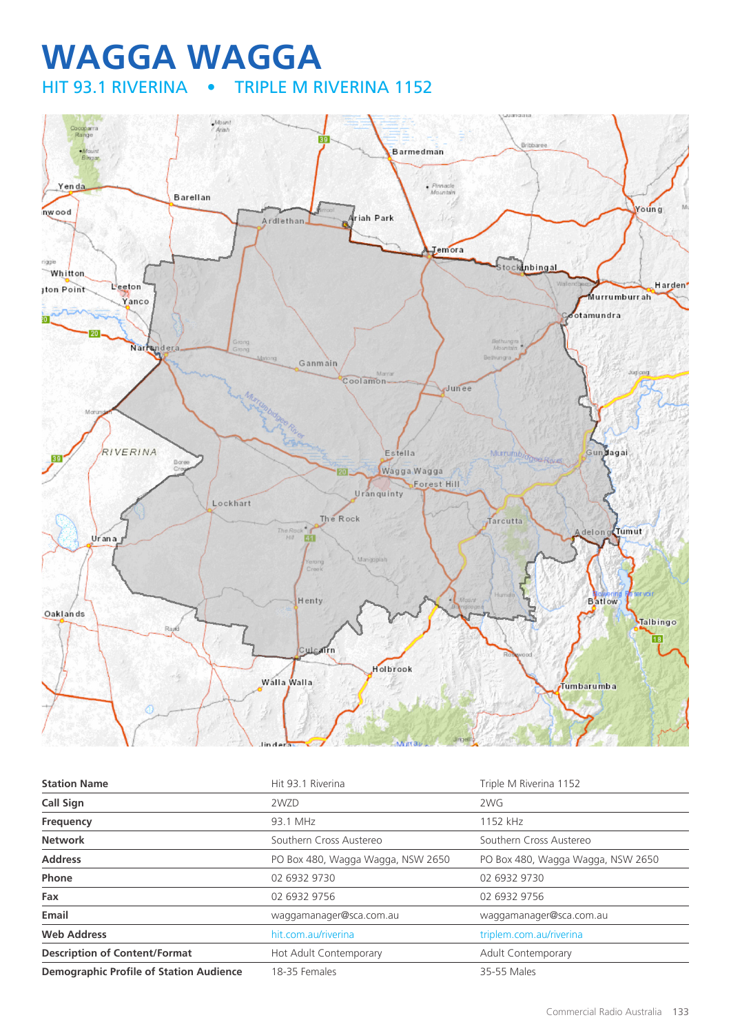## **WAGGA WAGGA**<br>HIT 93.1 RIVERINA • TRIPLE M R TRIPLE M RIVERINA 1152



| <b>Station Name</b>                            | Hit 93.1 Riverina                 | Triple M Riverina 1152            |
|------------------------------------------------|-----------------------------------|-----------------------------------|
| <b>Call Sign</b>                               | 2WZD                              | 2WG                               |
| Frequency                                      | 93.1 MHz                          | 1152 kHz                          |
| <b>Network</b>                                 | Southern Cross Austereo           | Southern Cross Austereo           |
| <b>Address</b>                                 | PO Box 480, Wagga Wagga, NSW 2650 | PO Box 480, Wagga Wagga, NSW 2650 |
| <b>Phone</b>                                   | 02 6932 9730                      | 02 6932 9730                      |
| Fax                                            | 02 6932 9756                      | 02 6932 9756                      |
| Email                                          | waqqamanaqer@sca.com.au           | waqqamanaqer@sca.com.au           |
| <b>Web Address</b>                             | hit.com.au/riverina               | triplem.com.au/riverina           |
| <b>Description of Content/Format</b>           | Hot Adult Contemporary            | <b>Adult Contemporary</b>         |
| <b>Demographic Profile of Station Audience</b> | 18-35 Females                     | 35-55 Males                       |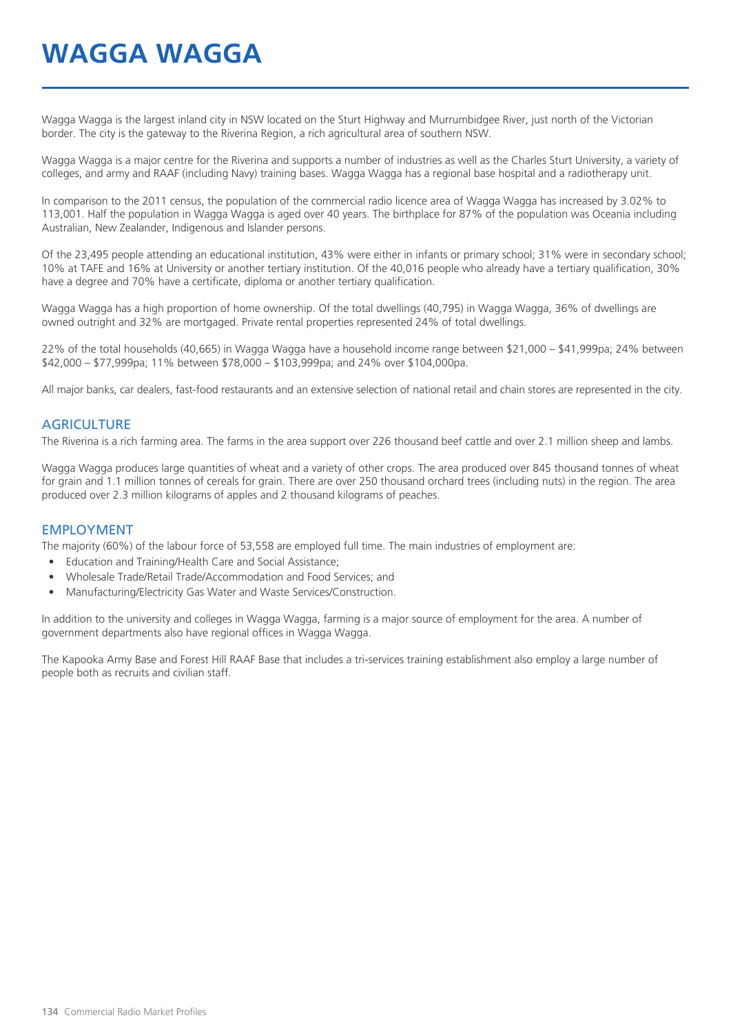# **WAGGA WAGGA**

Wagga Wagga is the largest inland city in NSW located on the Sturt Highway and Murrumbidgee River, just north of the Victorian border. The city is the gateway to the Riverina Region, a rich agricultural area of southern NSW.

Wagga Wagga is a major centre for the Riverina and supports a number of industries as well as the Charles Sturt University, a variety of colleges, and army and RAAF (including Navy) training bases. Wagga Wagga has a regional base hospital and a radiotherapy unit.

In comparison to the 2011 census, the population of the commercial radio licence area of Wagga Wagga has increased by 3.02% to 113,001. Half the population in Wagga Wagga is aged over 40 years. The birthplace for 87% of the population was Oceania including Australian, New Zealander, Indigenous and Islander persons.

Of the 23,495 people attending an educational institution, 43% were either in infants or primary school; 31% were in secondary school; 10% at TAFE and 16% at University or another tertiary institution. Of the 40,016 people who already have a tertiary qualification, 30% have a degree and 70% have a certificate, diploma or another tertiary qualification.

Wagga Wagga has a high proportion of home ownership. Of the total dwellings (40,795) in Wagga Wagga, 36% of dwellings are owned outright and 32% are mortgaged. Private rental properties represented 24% of total dwellings.

22% of the total households (40,665) in Wagga Wagga have a household income range between \$21,000 – \$41,999pa; 24% between \$42,000 – \$77,999pa; 11% between \$78,000 – \$103,999pa; and 24% over \$104,000pa.

All major banks, car dealers, fast-food restaurants and an extensive selection of national retail and chain stores are represented in the city.

#### **AGRICULTURE**

The Riverina is a rich farming area. The farms in the area support over 226 thousand beef cattle and over 2.1 million sheep and lambs.

Wagga Wagga produces large quantities of wheat and a variety of other crops. The area produced over 845 thousand tonnes of wheat for grain and 1.1 million tonnes of cereals for grain. There are over 250 thousand orchard trees (including nuts) in the region. The area produced over 2.3 million kilograms of apples and 2 thousand kilograms of peaches.

#### EMPLOYMENT

The majority (60%) of the labour force of 53,558 are employed full time. The main industries of employment are:

- Education and Training/Health Care and Social Assistance;
- Wholesale Trade/Retail Trade/Accommodation and Food Services; and
- Manufacturing/Electricity Gas Water and Waste Services/Construction.

In addition to the university and colleges in Wagga Wagga, farming is a major source of employment for the area. A number of government departments also have regional offices in Wagga Wagga.

The Kapooka Army Base and Forest Hill RAAF Base that includes a tri-services training establishment also employ a large number of people both as recruits and civilian staff.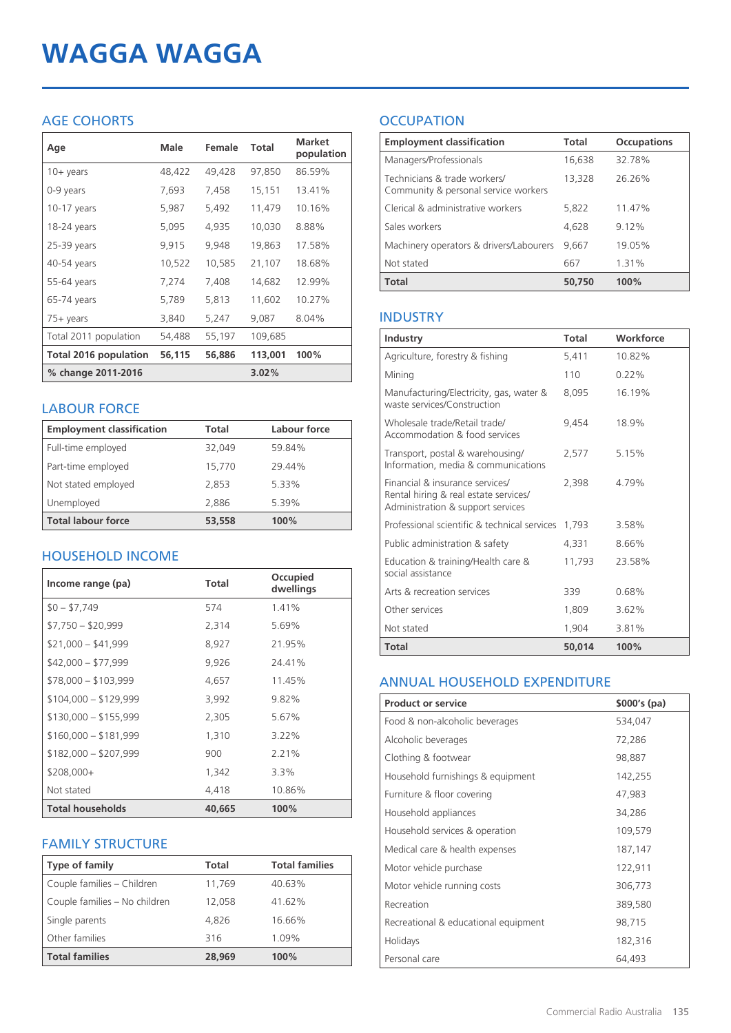# **WAGGA WAGGA**

### AGE COHORTS

| Age                   | Male   | Female | <b>Total</b> | <b>Market</b><br>population |
|-----------------------|--------|--------|--------------|-----------------------------|
| $10 + \gamma$ ears    | 48,422 | 49,428 | 97,850       | 86.59%                      |
| 0-9 years             | 7,693  | 7,458  | 15,151       | 13.41%                      |
| $10-17$ years         | 5,987  | 5,492  | 11,479       | 10.16%                      |
| 18-24 years           | 5,095  | 4,935  | 10,030       | 8.88%                       |
| 25-39 years           | 9,915  | 9,948  | 19,863       | 17.58%                      |
| 40-54 years           | 10,522 | 10,585 | 21,107       | 18.68%                      |
| 55-64 years           | 7,274  | 7,408  | 14,682       | 12.99%                      |
| 65-74 years           | 5,789  | 5,813  | 11,602       | 10.27%                      |
| $75+$ years           | 3,840  | 5,247  | 9,087        | 8.04%                       |
| Total 2011 population | 54,488 | 55,197 | 109,685      |                             |
| Total 2016 population | 56,115 | 56,886 | 113,001      | 100%                        |
| % change 2011-2016    |        |        | 3.02%        |                             |

#### LABOUR FORCE

| <b>Employment classification</b> | Total  | Labour force |
|----------------------------------|--------|--------------|
| Full-time employed               | 32.049 | 59.84%       |
| Part-time employed               | 15,770 | 29.44%       |
| Not stated employed              | 2.853  | 5.33%        |
| Unemployed                       | 2.886  | 5.39%        |
| <b>Total labour force</b>        | 53,558 | 100%         |

### HOUSEHOLD INCOME

| Income range (pa)       | <b>Total</b> | Occupied<br>dwellings |
|-------------------------|--------------|-----------------------|
| $$0 - $7,749$           | 574          | 1.41%                 |
| $$7,750 - $20,999$      | 2,314        | 5.69%                 |
| $$21,000 - $41,999$     | 8,927        | 21.95%                |
| $$42,000 - $77,999$     | 9,926        | 24.41%                |
| $$78,000 - $103,999$    | 4,657        | 11.45%                |
| $$104,000 - $129,999$   | 3,992        | $9.82\%$              |
| $$130,000 - $155,999$   | 2,305        | 5.67%                 |
| $$160,000 - $181,999$   | 1,310        | $3.22\%$              |
| $$182,000 - $207,999$   | 900          | 2.21%                 |
| $$208,000+$             | 1,342        | $3.3\%$               |
| Not stated              | 4,418        | 10.86%                |
| <b>Total households</b> | 40,665       | 100%                  |

### FAMILY STRUCTURE

| <b>Type of family</b>         | <b>Total</b> | <b>Total families</b> |
|-------------------------------|--------------|-----------------------|
| Couple families - Children    | 11,769       | 40.63%                |
| Couple families - No children | 12.058       | 41.62%                |
| Single parents                | 4.826        | 16.66%                |
| Other families                | 316          | 1.09%                 |
| <b>Total families</b>         | 28,969       | 100%                  |

### **OCCUPATION**

| <b>Employment classification</b>                                     | <b>Total</b> | <b>Occupations</b> |
|----------------------------------------------------------------------|--------------|--------------------|
| Managers/Professionals                                               | 16,638       | 32.78%             |
| Technicians & trade workers/<br>Community & personal service workers | 13,328       | 26.26%             |
| Clerical & administrative workers                                    | 5.822        | 11.47%             |
| Sales workers                                                        | 4.628        | 9.12%              |
| Machinery operators & drivers/Labourers                              | 9.667        | 19.05%             |
| Not stated                                                           | 667          | 1.31%              |
| <b>Total</b>                                                         | 50,750       | 100%               |

#### INDUSTRY

| Industry                                                                                                      | Total  | Workforce |
|---------------------------------------------------------------------------------------------------------------|--------|-----------|
| Agriculture, forestry & fishing                                                                               | 5,411  | 10.82%    |
| Mining                                                                                                        | 110    | $0.22\%$  |
| Manufacturing/Electricity, gas, water &<br>waste services/Construction                                        | 8,095  | 16.19%    |
| Wholesale trade/Retail trade/<br>Accommodation & food services                                                | 9.454  | 18.9%     |
| Transport, postal & warehousing/<br>Information, media & communications                                       | 2,577  | 5.15%     |
| Financial & insurance services/<br>Rental hiring & real estate services/<br>Administration & support services | 2.398  | 4.79%     |
| Professional scientific & technical services                                                                  | 1,793  | 3.58%     |
| Public administration & safety                                                                                | 4,331  | 8.66%     |
| Education & training/Health care &<br>social assistance                                                       | 11,793 | 23.58%    |
| Arts & recreation services                                                                                    | 339    | 0.68%     |
| Other services                                                                                                | 1,809  | 3.62%     |
| Not stated                                                                                                    | 1,904  | 3.81%     |
| <b>Total</b>                                                                                                  | 50.014 | 100%      |

#### ANNUAL HOUSEHOLD EXPENDITURE

| <b>Product or service</b>            | $$000's$ (pa) |
|--------------------------------------|---------------|
| Food & non-alcoholic beverages       | 534,047       |
| Alcoholic beverages                  | 72,286        |
| Clothing & footwear                  | 98,887        |
| Household furnishings & equipment    | 142,255       |
| Furniture & floor covering           | 47,983        |
| Household appliances                 | 34,286        |
| Household services & operation       | 109,579       |
| Medical care & health expenses       | 187,147       |
| Motor vehicle purchase               | 122,911       |
| Motor vehicle running costs          | 306,773       |
| Recreation                           | 389,580       |
| Recreational & educational equipment | 98,715        |
| Holidays                             | 182,316       |
| Personal care                        | 64,493        |